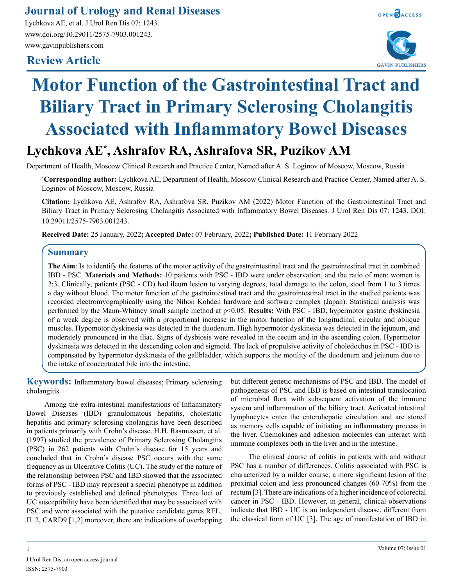## **Journal of Urology and Renal Diseases**

Lychkova AE, et al. J Urol Ren Dis 07: 1243. www.doi.org/10.29011/2575-7903.001243. www.gavinpublishers.com

### **Review Article**





# **Motor Function of the Gastrointestinal Tract and Biliary Tract in Primary Sclerosing Cholangitis Associated with Inflammatory Bowel Diseases**

# **Lychkova AE\* , Ashrafov RA, Ashrafova SR, Puzikov AM**

Department of Health, Moscow Clinical Research and Practice Center, Named after A. S. Loginov of Moscow, Moscow, Russia

**\* Corresponding author:** Lychkova AE, Department of Health, Moscow Clinical Research and Practice Center, Named after A. S. Loginov of Moscow, Moscow, Russia

**Citation:** Lychkova AE, Ashrafov RA, Ashrafova SR, Puzikov AM (2022) Motor Function of the Gastrointestinal Tract and Biliary Tract in Primary Sclerosing Cholangitis Associated with Inflammatory Bowel Diseases. J Urol Ren Dis 07: 1243. DOI: 10.29011/2575-7903.001243.

**Received Date:** 25 January, 2022**; Accepted Date:** 07 February, 2022**; Published Date:** 11 February 2022

#### **Summary**

**The Aim**: Is to identify the features of the motor activity of the gastrointestinal tract and the gastrointestinal tract in combined IBD - PSC. **Materials and Methods:** 10 patients with PSC - IBD were under observation, and the ratio of men: women is 2:3. Clinically, patients (PSC - CD) had ileum lesion to varying degrees, total damage to the colon, stool from 1 to 3 times a day without blood. The motor function of the gastrointestinal tract and the gastrointestinal tract in the studied patients was recorded electromyographically using the Nihon Kohden hardware and software complex (Japan). Statistical analysis was performed by the Mann-Whitney small sample method at p<0.05. **Results:** With PSC - IBD, hypermotor gastric dyskinesia of a weak degree is observed with a proportional increase in the motor function of the longitudinal, circular and oblique muscles. Hypomotor dyskinesia was detected in the duodenum. High hypermotor dyskinesia was detected in the jejunum, and moderately pronounced in the iliac. Signs of dysbiosis were revealed in the cecum and in the ascending colon. Hypermotor dyskinesia was detected in the descending colon and sigmoid. The lack of propulsive activity of choledochus in PSC - IBD is compensated by hypermotor dyskinesia of the gallbladder, which supports the motility of the duodenum and jejunum due to the intake of concentrated bile into the intestine.

**Keywords:** Inflammatory bowel diseases; Primary sclerosing cholangitis

Among the extra-intestinal manifestations of Inflammatory Bowel Diseases (IBD) granulomatous hepatitis, cholestatic hepatitis and primary sclerosing cholangitis have been described in patients primarily with Crohn's disease. H.H. Rasmussen, et al. (1997) studied the prevalence of Primary Sclerosing Cholangitis (PSC) in 262 patients with Crohn's disease for 15 years and concluded that in Crohn's disease PSC occurs with the same frequency as in Ulcerative Colitis (UC). The study of the nature of the relationship between PSC and IBD showed that the associated forms of PSC - IBD may represent a special phenotype in addition to previously established and defined phenotypes. Three loci of UC susceptibility have been identified that may be associated with PSC and were associated with the putative candidate genes REL, IL 2, CARD9 [1,2] moreover, there are indications of overlapping

but different genetic mechanisms of PSC and IBD. The model of pathogenesis of PSC and IBD is based on intestinal translocation of microbial flora with subsequent activation of the immune system and inflammation of the biliary tract. Activated intestinal lymphocytes enter the enterohepatic circulation and are stored as memory cells capable of initiating an inflammatory process in the liver. Chemokines and adhesion molecules can interact with immune complexes both in the liver and in the intestine.

The clinical course of colitis in patients with and without PSC has a number of differences. Colitis associated with PSC is characterized by a milder course, a more significant lesion of the proximal colon and less pronounced changes (60-70%) from the rectum [3]. There are indications of a higher incidence of colorectal cancer in PSC - IBD. However, in general, clinical observations indicate that IBD - UC is an independent disease, different from the classical form of UC [3]. The age of manifestation of IBD in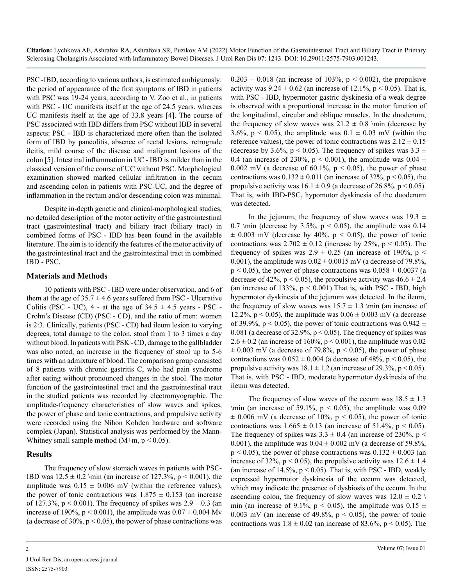**Citation:** Lychkova AE, Ashrafov RA, Ashrafova SR, Puzikov AM (2022) Motor Function of the Gastrointestinal Tract and Biliary Tract in Primary Sclerosing Cholangitis Associated with Inflammatory Bowel Diseases. J Urol Ren Dis 07: 1243. DOI: 10.29011/2575-7903.001243.

PSC -IBD, according to various authors, is estimated ambiguously: the period of appearance of the first symptoms of IBD in patients with PSC was 19-24 years, according to V. Zoo et al., in patients with PSC - UC manifests itself at the age of 24.5 years. whereas UC manifests itself at the age of 33.8 years [4]. The course of PSC associated with IBD differs from PSC without IBD in several aspects: PSC - IBD is characterized more often than the isolated form of IBD by pancolitis, absence of rectal lesions, retrograde ileitis, mild course of the disease and malignant lesions of the colon [5]. Intestinal inflammation in UC - IBD is milder than in the classical version of the course of UC without PSC. Morphological examination showed marked cellular infiltration in the cecum and ascending colon in patients with PSC-UC, and the degree of inflammation in the rectum and/or descending colon was minimal.

Despite in-depth genetic and clinical-morphological studies, no detailed description of the motor activity of the gastrointestinal tract (gastrointestinal tract) and biliary tract (biliary tract) in combined forms of PSC - IBD has been found in the available literature. The aim is to identify the features of the motor activity of the gastrointestinal tract and the gastrointestinal tract in combined IBD - PSC.

#### **Materials and Methods**

10 patients with PSC - IBD were under observation, and 6 of them at the age of  $35.7 \pm 4.6$  years suffered from PSC - Ulcerative Colitis (PSC - UC),  $4$  - at the age of  $34.5 \pm 4.5$  years - PSC -Crohn's Disease (CD) (PSC - CD), and the ratio of men: women is 2:3. Clinically, patients (PSC - CD) had ileum lesion to varying degrees, total damage to the colon, stool from 1 to 3 times a day without blood. In patients with PSK - CD, damage to the gallbladder was also noted, an increase in the frequency of stool up to 5-6 times with an admixture of blood. The comparison group consisted of 8 patients with chronic gastritis C, who had pain syndrome after eating without pronounced changes in the stool. The motor function of the gastrointestinal tract and the gastrointestinal tract in the studied patients was recorded by electromyographic. The amplitude-frequency characteristics of slow waves and spikes, the power of phase and tonic contractions, and propulsive activity were recorded using the Nihon Kohden hardware and software complex (Japan). Statistical analysis was performed by the Mann-Whitney small sample method ( $M \pm m$ ,  $p \le 0.05$ ).

#### **Results**

The frequency of slow stomach waves in patients with PSC-IBD was  $12.5 \pm 0.2 \min (an increase of 127.3%, p < 0.001), the$ amplitude was  $0.15 \pm 0.006$  mV (within the reference values), the power of tonic contractions was  $1.875 \pm 0.153$  (an increase of 127.3%,  $p < 0.001$ ). The frequency of spikes was  $2.9 \pm 0.3$  (an increase of 190%,  $p < 0.001$ ), the amplitude was  $0.07 \pm 0.004$  Mv (a decrease of 30%,  $p < 0.05$ ), the power of phase contractions was  $0.203 \pm 0.018$  (an increase of 103%, p < 0.002), the propulsive activity was  $9.24 \pm 0.62$  (an increase of 12.1%,  $p < 0.05$ ). That is, with PSC - IBD, hypermotor gastric dyskinesia of a weak degree is observed with a proportional increase in the motor function of the longitudinal, circular and oblique muscles. In the duodenum, the frequency of slow waves was  $21.2 \pm 0.8$  \min (decrease by 3.6%,  $p < 0.05$ ), the amplitude was  $0.1 \pm 0.03$  mV (within the reference values), the power of tonic contractions was  $2.12 \pm 0.15$ (decrease by 3.6%,  $p < 0.05$ ). The frequency of spikes was 3.3  $\pm$ 0.4 (an increase of 230%,  $p < 0.001$ ), the amplitude was 0.04  $\pm$ 0.002 mV (a decrease of 60.1%,  $p < 0.05$ ), the power of phase contractions was  $0.132 \pm 0.011$  (an increase of 32%, p < 0.05), the propulsive activity was  $16.1 \pm 0.9$  (a decrease of 26.8%. p < 0.05). That is, with IBD-PSC, hypomotor dyskinesia of the duodenum was detected.

In the jejunum, the frequency of slow waves was  $19.3 \pm$ 0.7 \min (decrease by 3.5%,  $p < 0.05$ ), the amplitude was 0.14  $\pm$  0.003 mV (decrease by 40%, p < 0.05), the power of tonic contractions was  $2.702 \pm 0.12$  (increase by 25%, p < 0.05). The frequency of spikes was  $2.9 \pm 0.25$  (an increase of 190%, p < 0.001), the amplitude was  $0.02 \pm 0.0015$  mV (a decrease of 79.8%,  $p < 0.05$ ), the power of phase contractions was  $0.058 \pm 0.0037$  (a decrease of 42%,  $p < 0.05$ ), the propulsive activity was  $46.6 \pm 2.4$ (an increase of 133%,  $p < 0.001$ ). That is, with PSC - IBD, high hypermotor dyskinesia of the jejunum was detected. In the ileum, the frequency of slow waves was  $15.7 \pm 1.3$  \min (an increase of 12.2%,  $p < 0.05$ ), the amplitude was  $0.06 \pm 0.003$  mV (a decrease of 39.9%,  $p < 0.05$ ), the power of tonic contractions was  $0.942 \pm$ 0.081 (a decrease of 32.9%,  $p < 0.05$ ). The frequency of spikes was  $2.6 \pm 0.2$  (an increase of 160%, p < 0.001), the amplitude was 0.02  $\pm$  0.003 mV (a decrease of 79.8%, p < 0.05), the power of phase contractions was  $0.052 \pm 0.004$  (a decrease of 48%, p < 0.05), the propulsive activity was  $18.1 \pm 1.2$  (an increase of 29.3%, p < 0.05). That is, with PSC - IBD, moderate hypermotor dyskinesia of the ileum was detected.

The frequency of slow waves of the cecum was  $18.5 \pm 1.3$ \min (an increase of 59.1%,  $p < 0.05$ ), the amplitude was 0.09  $\pm$  0.006 mV (a decrease of 10%, p < 0.05), the power of tonic contractions was  $1.665 \pm 0.13$  (an increase of 51.4%, p < 0.05). The frequency of spikes was  $3.3 \pm 0.4$  (an increase of 230%, p < 0.001), the amplitude was  $0.04 \pm 0.002$  mV (a decrease of 59.8%,  $p < 0.05$ ), the power of phase contractions was  $0.132 \pm 0.003$  (an increase of 32%,  $p < 0.05$ ), the propulsive activity was  $12.6 \pm 1.4$ (an increase of  $14.5\%$ ,  $p < 0.05$ ). That is, with PSC - IBD, weakly expressed hypermotor dyskinesia of the cecum was detected, which may indicate the presence of dysbiosis of the cecum. In the ascending colon, the frequency of slow waves was  $12.0 \pm 0.2$ min (an increase of 9.1%,  $p < 0.05$ ), the amplitude was  $0.15 \pm$ 0.003 mV (an increase of 49.8%,  $p < 0.05$ ), the power of tonic contractions was  $1.8 \pm 0.02$  (an increase of 83.6%, p < 0.05). The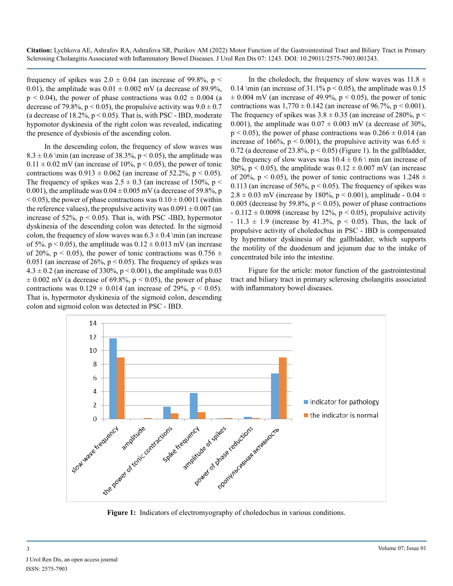frequency of spikes was  $2.0 \pm 0.04$  (an increase of 99.8%, p < 0.01), the amplitude was  $0.01 \pm 0.002$  mV (a decrease of 89.9%,  $p \le 0.04$ ), the power of phase contractions was  $0.02 \pm 0.004$  (a decrease of 79.8%,  $p < 0.05$ ), the propulsive activity was  $9.0 \pm 0.7$ (a decrease of  $18.2\%$ ,  $p < 0.05$ ). That is, with PSC - IBD, moderate hypomotor dyskinesia of the right colon was revealed, indicating the presence of dysbiosis of the ascending colon.

In the descending colon, the frequency of slow waves was  $8.3 \pm 0.6$  \min (an increase of 38.3%, p < 0.05), the amplitude was  $0.11 \pm 0.02$  mV (an increase of 10%, p < 0.05), the power of tonic contractions was  $0.913 \pm 0.062$  (an increase of 52.2%, p < 0.05). The frequency of spikes was  $2.5 \pm 0.3$  (an increase of 150%, p < 0.001), the amplitude was  $0.04 \pm 0.005$  mV (a decrease of 59.8%, p  $<$  0.05), the power of phase contractions was  $0.10 \pm 0.0011$  (within the reference values), the propulsive activity was  $0.091 \pm 0.007$  (an increase of  $52\%$ ,  $p < 0.05$ ). That is, with PSC -IBD, hypermotor dyskinesia of the descending colon was detected. In the sigmoid colon, the frequency of slow waves was  $6.3 \pm 0.4$  \min (an increase of 5%. p < 0.05), the amplitude was  $0.12 \pm 0.013$  mV (an increase of 20%, p < 0.05), the power of tonic contractions was  $0.756 \pm$ 0.051 (an increase of  $26\%$ ,  $p < 0.05$ ). The frequency of spikes was  $4.3 \pm 0.2$  (an increase of 330%, p < 0.001), the amplitude was 0.03  $\pm$  0.002 mV (a decrease of 69.8%, p < 0.05), the power of phase contractions was  $0.129 \pm 0.014$  (an increase of 29%, p < 0.05). That is, hypermotor dyskinesia of the sigmoid colon, descending colon and sigmoid colon was detected in PSC - IBD.

In the choledoch, the frequency of slow waves was  $11.8 \pm 10$ 0.14 \min (an increase of 31.1%  $p < 0.05$ ), the amplitude was 0.15  $\pm$  0.004 mV (an increase of 49.9%, p < 0.05), the power of tonic contractions was  $1,770 \pm 0.142$  (an increase of 96.7%, p < 0.001). The frequency of spikes was  $3.8 \pm 0.35$  (an increase of 280%, p < 0.001), the amplitude was  $0.07 \pm 0.003$  mV (a decrease of 30%,  $p < 0.05$ ), the power of phase contractions was  $0.266 \pm 0.014$  (an increase of 166%,  $p < 0.001$ ), the propulsive activity was 6.65  $\pm$ 0.72 (a decrease of 23.8%,  $p < 0.05$ ) (Figure 1). In the gallbladder, the frequency of slow waves was  $10.4 \pm 0.6$  \ min (an increase of 30%,  $p < 0.05$ ), the amplitude was  $0.12 \pm 0.007$  mV (an increase of 20%, p < 0.05), the power of tonic contractions was  $1.248 \pm$ 0.113 (an increase of 56%,  $p < 0.05$ ). The frequency of spikes was  $2.8 \pm 0.03$  mV (increase by 180%, p < 0.001), amplitude - 0.04  $\pm$ 0.005 (decrease by 59.8%,  $p < 0.05$ ), power of phase contractions  $-0.112 \pm 0.0098$  (increase by 12%, p < 0.05), propulsive activity  $- 11.3 \pm 1.9$  (increase by 41.3%, p < 0.05). Thus, the lack of propulsive activity of choledochus in PSC - IBD is compensated by hypermotor dyskinesia of the gallbladder, which supports the motility of the duodenum and jejunum due to the intake of concentrated bile into the intestine.

Figure for the article: motor function of the gastrointestinal tract and biliary tract in primary sclerosing cholangitis associated with inflammatory bowel diseases.



**Figure 1:** Indicators of electromyography of choledochus in various conditions.